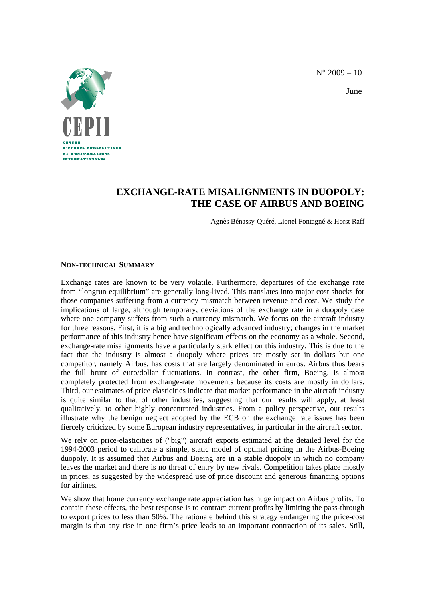$N^{\circ}$  2009 – 10



June

## **EXCHANGE-RATE MISALIGNMENTS IN DUOPOLY: THE CASE OF AIRBUS AND BOEING**

Agnès Bénassy-Quéré, Lionel Fontagné & Horst Raff

## **NON-TECHNICAL SUMMARY**

Exchange rates are known to be very volatile. Furthermore, departures of the exchange rate from "longrun equilibrium" are generally long-lived. This translates into major cost shocks for those companies suffering from a currency mismatch between revenue and cost. We study the implications of large, although temporary, deviations of the exchange rate in a duopoly case where one company suffers from such a currency mismatch. We focus on the aircraft industry for three reasons. First, it is a big and technologically advanced industry; changes in the market performance of this industry hence have significant effects on the economy as a whole. Second, exchange-rate misalignments have a particularly stark effect on this industry. This is due to the fact that the industry is almost a duopoly where prices are mostly set in dollars but one competitor, namely Airbus, has costs that are largely denominated in euros. Airbus thus bears the full brunt of euro/dollar fluctuations. In contrast, the other firm, Boeing, is almost completely protected from exchange-rate movements because its costs are mostly in dollars. Third, our estimates of price elasticities indicate that market performance in the aircraft industry is quite similar to that of other industries, suggesting that our results will apply, at least qualitatively, to other highly concentrated industries. From a policy perspective, our results illustrate why the benign neglect adopted by the ECB on the exchange rate issues has been fiercely criticized by some European industry representatives, in particular in the aircraft sector.

We rely on price-elasticities of ("big") aircraft exports estimated at the detailed level for the 1994-2003 period to calibrate a simple, static model of optimal pricing in the Airbus-Boeing duopoly. It is assumed that Airbus and Boeing are in a stable duopoly in which no company leaves the market and there is no threat of entry by new rivals. Competition takes place mostly in prices, as suggested by the widespread use of price discount and generous financing options for airlines.

We show that home currency exchange rate appreciation has huge impact on Airbus profits. To contain these effects, the best response is to contract current profits by limiting the pass-through to export prices to less than 50%. The rationale behind this strategy endangering the price-cost margin is that any rise in one firm's price leads to an important contraction of its sales. Still,